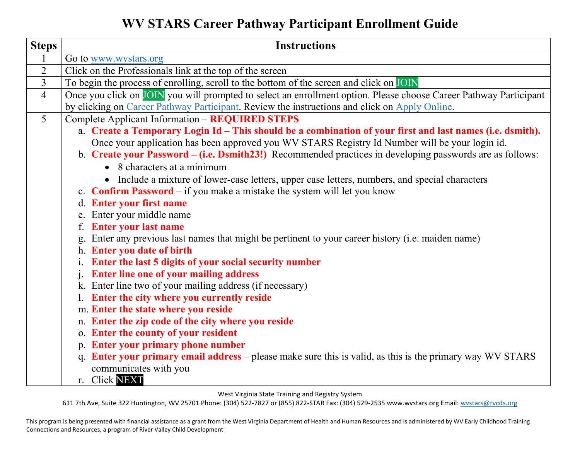**WV STARS Career Pathway Participant Enrollment Guide** 

| <b>Steps</b>   | <b>Instructions</b>                                                                                                                                                                                                                                                                                                                                            |
|----------------|----------------------------------------------------------------------------------------------------------------------------------------------------------------------------------------------------------------------------------------------------------------------------------------------------------------------------------------------------------------|
|                | Go to www.wystars.org                                                                                                                                                                                                                                                                                                                                          |
| $\overline{2}$ | Click on the Professionals link at the top of the screen                                                                                                                                                                                                                                                                                                       |
| $\overline{3}$ | To begin the process of enrolling, scroll to the bottom of the screen and click on JOIN                                                                                                                                                                                                                                                                        |
| $\overline{4}$ | Once you click on JOIN you will prompted to select an enrollment option. Please choose Career Pathway Participant<br>by clicking on Career Pathway Participant. Review the instructions and click on Apply Online.                                                                                                                                             |
| 5 <sup>5</sup> | Complete Applicant Information - REQUIRED STEPS                                                                                                                                                                                                                                                                                                                |
|                | a. Create a Temporary Login Id - This should be a combination of your first and last names (i.e. dsmith).<br>Once your application has been approved you WV STARS Registry Id Number will be your login id.<br>b. Create your Password – (i.e. Dsmith23!) Recommended practices in developing passwords are as follows:<br>$\bullet$ 8 characters at a minimum |
|                | • Include a mixture of lower-case letters, upper case letters, numbers, and special characters                                                                                                                                                                                                                                                                 |
|                | c. <b>Confirm Password</b> – if you make a mistake the system will let you know                                                                                                                                                                                                                                                                                |
|                | d. Enter your first name                                                                                                                                                                                                                                                                                                                                       |
|                | e. Enter your middle name                                                                                                                                                                                                                                                                                                                                      |
|                | <b>Enter your last name</b><br>f.                                                                                                                                                                                                                                                                                                                              |
|                | Enter any previous last names that might be pertinent to your career history (i.e. maiden name)                                                                                                                                                                                                                                                                |
|                | h. Enter you date of birth                                                                                                                                                                                                                                                                                                                                     |
|                | Enter the last 5 digits of your social security number<br><b>Enter line one of your mailing address</b><br>$\mathbf{i}$ .                                                                                                                                                                                                                                      |
|                | k. Enter line two of your mailing address (if necessary)                                                                                                                                                                                                                                                                                                       |
|                | Enter the city where you currently reside                                                                                                                                                                                                                                                                                                                      |
|                | m. Enter the state where you reside                                                                                                                                                                                                                                                                                                                            |
|                | n. Enter the zip code of the city where you reside                                                                                                                                                                                                                                                                                                             |
|                | o. Enter the county of your resident                                                                                                                                                                                                                                                                                                                           |
|                | p. Enter your primary phone number                                                                                                                                                                                                                                                                                                                             |
|                | q. Enter your primary email address – please make sure this is valid, as this is the primary way WV STARS<br>communicates with you                                                                                                                                                                                                                             |
|                | r. Click NEXT                                                                                                                                                                                                                                                                                                                                                  |

West Virginia State Training and Registry System

611 7th Ave, Suite 322 Huntington, WV 25701 Phone: (304) 522-7827 or (855) 822-STAR Fax: (304) 529-2535 www.wvstars.org Email: [wvstars@rvcds.org](mailto:wvstars@rvcds.org)

This program is being presented with financial assistance as a grant from the West Virginia Department of Health and Human Resources and is administered by WV Early Childhood Training Connections and Resources, a program of River Valley Child Development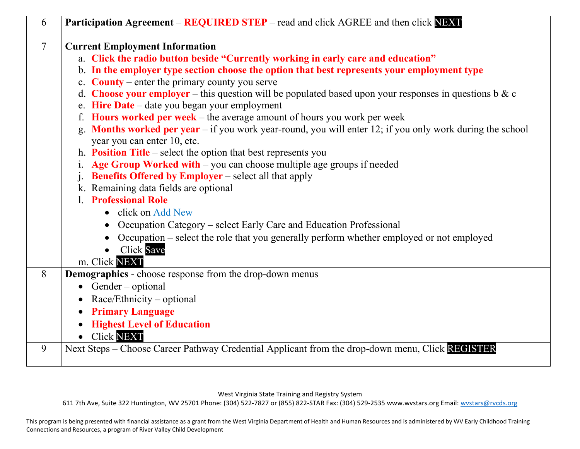| $\overline{7}$ | <b>Current Employment Information</b>                                                                                                      |
|----------------|--------------------------------------------------------------------------------------------------------------------------------------------|
|                | a. Click the radio button beside "Currently working in early care and education"                                                           |
|                | b. In the employer type section choose the option that best represents your employment type                                                |
|                | c. <b>County</b> – enter the primary county you serve                                                                                      |
|                | d. Choose your employer – this question will be populated based upon your responses in questions b & c                                     |
|                | e. Hire Date – date you began your employment                                                                                              |
|                | f. Hours worked per week $-$ the average amount of hours you work per week                                                                 |
|                | g. Months worked per year $-$ if you work year-round, you will enter 12; if you only work during the school<br>year you can enter 10, etc. |
|                | h. <b>Position Title</b> – select the option that best represents you                                                                      |
|                | Age Group Worked with – you can choose multiple age groups if needed                                                                       |
|                | <b>Benefits Offered by Employer</b> – select all that apply                                                                                |
|                | k. Remaining data fields are optional                                                                                                      |
|                | <b>Professional Role</b>                                                                                                                   |
|                | • click on Add New                                                                                                                         |
|                | Occupation Category – select Early Care and Education Professional                                                                         |
|                | Occupation – select the role that you generally perform whether employed or not employed<br>$\bullet$                                      |
|                | <b>Click Save</b>                                                                                                                          |
|                | m. Click NEXT                                                                                                                              |
| 8              | <b>Demographics</b> - choose response from the drop-down menus                                                                             |
|                | $\bullet$ Gender – optional                                                                                                                |
|                | Race/Ethnicity – optional<br>$\bullet$                                                                                                     |
|                | <b>Primary Language</b>                                                                                                                    |
|                | <b>Highest Level of Education</b>                                                                                                          |
|                | <b>Click NEXT</b>                                                                                                                          |

West Virginia State Training and Registry System

611 7th Ave, Suite 322 Huntington, WV 25701 Phone: (304) 522-7827 or (855) 822-STAR Fax: (304) 529-2535 www.wvstars.org Email: [wvstars@rvcds.org](mailto:wvstars@rvcds.org)

This program is being presented with financial assistance as a grant from the West Virginia Department of Health and Human Resources and is administered by WV Early Childhood Training Connections and Resources, a program of River Valley Child Development